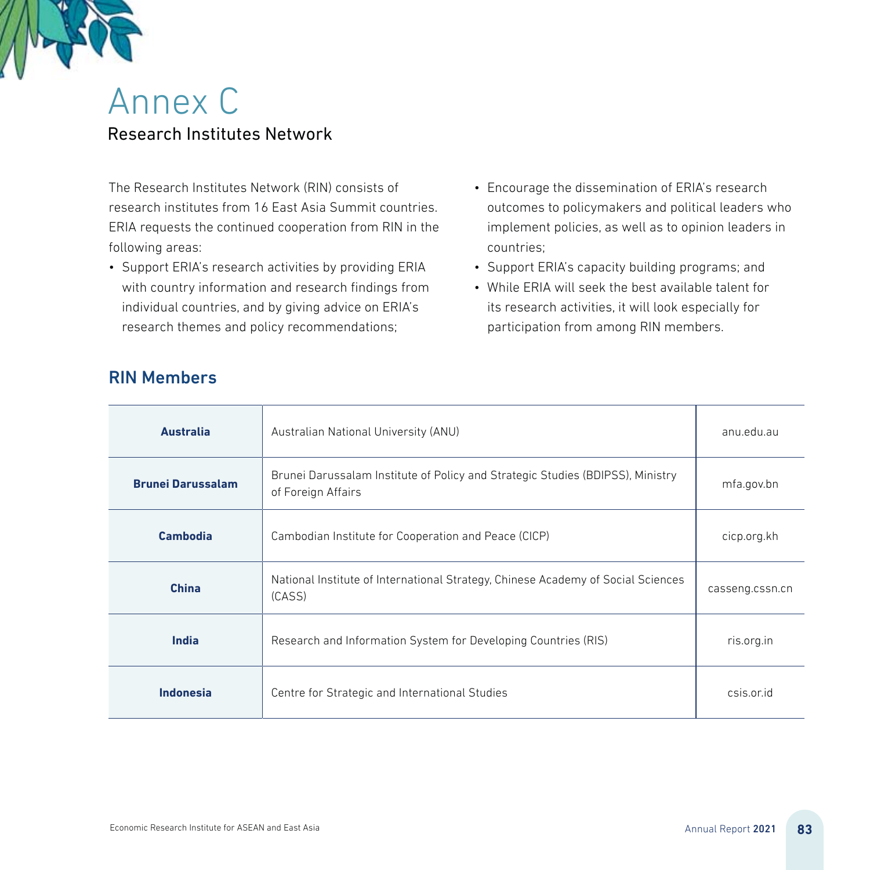

## Annex C Research Institutes Network

The Research Institutes Network (RIN) consists of research institutes from 16 East Asia Summit countries. ERIA requests the continued cooperation from RIN in the following areas:

- Support ERIA's research activities by providing ERIA with country information and research findings from individual countries, and by giving advice on ERIA's research themes and policy recommendations;
- Encourage the dissemination of ERIA's research outcomes to policymakers and political leaders who implement policies, as well as to opinion leaders in countries;
- Support ERIA's capacity building programs; and
- While ERIA will seek the best available talent for its research activities, it will look especially for participation from among RIN members.

| <b>Australia</b>         | Australian National University (ANU)                                                                 | anu.edu.au      |
|--------------------------|------------------------------------------------------------------------------------------------------|-----------------|
| <b>Brunei Darussalam</b> | Brunei Darussalam Institute of Policy and Strategic Studies (BDIPSS), Ministry<br>of Foreign Affairs | mfa.gov.bn      |
| Cambodia                 | Cambodian Institute for Cooperation and Peace (CICP)                                                 | cicp.org.kh     |
| <b>China</b>             | National Institute of International Strategy, Chinese Academy of Social Sciences<br>(CASS)           | casseng.cssn.cn |
| India                    | Research and Information System for Developing Countries (RIS)                                       | ris.org.in      |
| <b>Indonesia</b>         | Centre for Strategic and International Studies                                                       | csis.or.id      |

## RIN Members